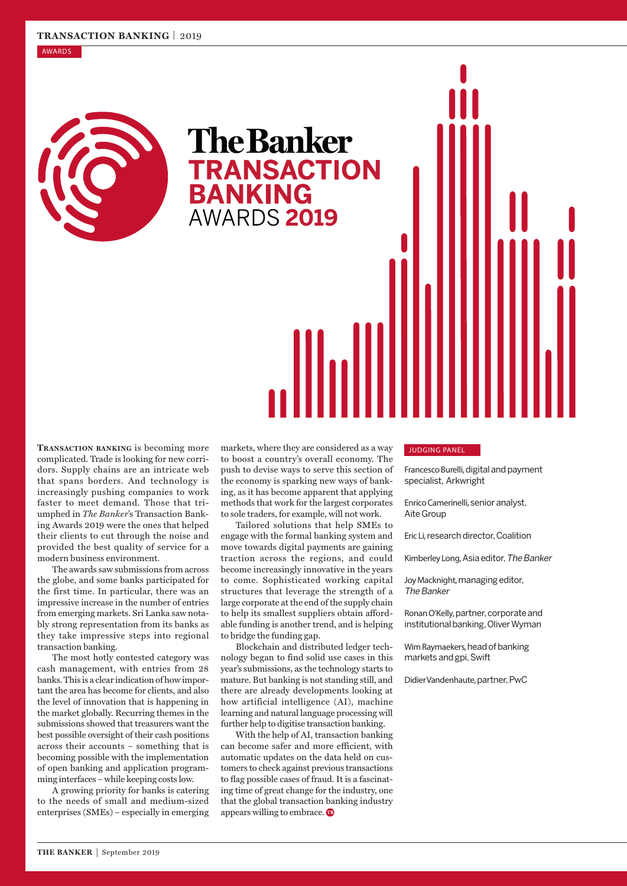### AWARDS



**The Banker TRANSACTION<br>BANKING** AWARDS 2019

**Transaction banking** is becoming more complicated. Trade is looking for new corridors. Supply chains are an intricate web that spans borders. And technology is increasingly pushing companies to work faster to meet demand. Those that triumphed in *The Banker*'s Transaction Banking Awards 2019 were the ones that helped their clients to cut through the noise and provided the best quality of service for a modern business environment.

The awards saw submissions from across the globe, and some banks participated for the first time. In particular, there was an impressive increase in the number of entries from emerging markets. Sri Lanka saw notably strong representation from its banks as they take impressive steps into regional transaction banking.

The most hotly contested category was cash management, with entries from 28 banks. This is a clear indication of how important the area has become for clients, and also the level of innovation that is happening in the market globally. Recurring themes in the submissions showed that treasurers want the best possible oversight of their cash positions across their accounts – something that is becoming possible with the implementation of open banking and application programming interfaces – while keeping costs low.

A growing priority for banks is catering to the needs of small and medium-sized enterprises (SMEs) – especially in emerging

markets, where they are considered as a way to boost a country's overall economy. The push to devise ways to serve this section of the economy is sparking new ways of banking, as it has become apparent that applying methods that work for the largest corporates to sole traders, for example, will not work.

Tailored solutions that help SMEs to engage with the formal banking system and move towards digital payments are gaining traction across the regions, and could become increasingly innovative in the years to come. Sophisticated working capital structures that leverage the strength of a large corporate at the end of the supply chain to help its smallest suppliers obtain affordable funding is another trend, and is helping to bridge the funding gap.

Blockchain and distributed ledger technology began to find solid use cases in this year's submissions, as the technology starts to mature. But banking is not standing still, and there are already developments looking at how artificial intelligence (AI), machine learning and natural language processing will further help to digitise transaction banking.

With the help of AI, transaction banking can become safer and more efficient, with automatic updates on the data held on customers to check against previous transactions to flag possible cases of fraud. It is a fascinating time of great change for the industry, one that the global transaction banking industry appears willing to embrace.

## JUDGING PANEL

Francesco Burelli, digital and payment specialist, Arkwright

Enrico Camerinelli, senior analyst, Aite Group

Eric Li, research director, Coalition

Kimberley Long, Asia editor, The Banker

Joy Macknight, managing editor, The Banker

Ronan O'Kelly, partner, corporate and institutional banking, Oliver Wyman

Wim Raymaekers, head of banking markets and gpi, Swift

Didier Vandenhaute, partner, PwC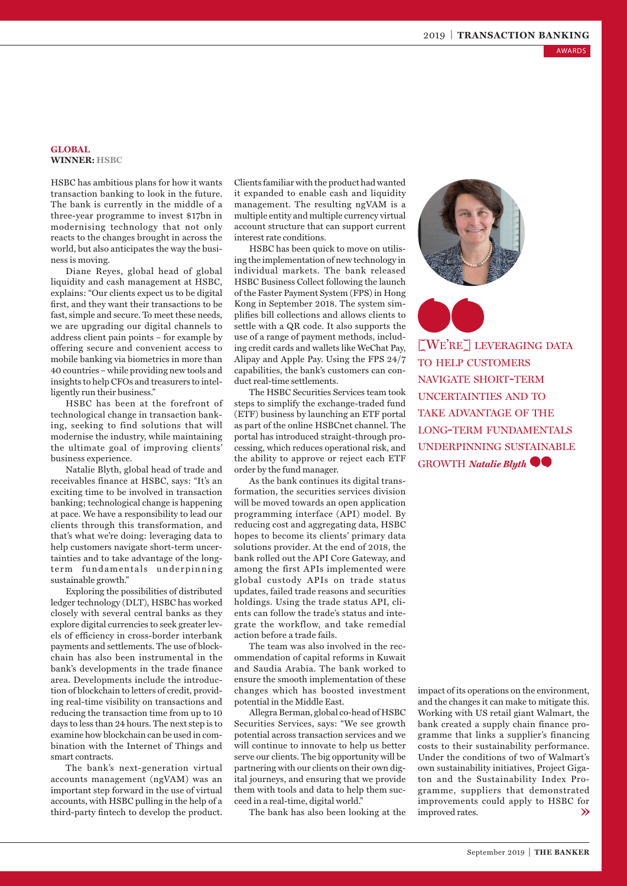AWARDS

# **GLOBAL WINNER: HSBC**

HSBC has ambitious plans for how it wants transaction banking to look in the future. The bank is currently in the middle of a three-year programme to invest \$17bn in modernising technology that not only reacts to the changes brought in across the world, but also anticipates the way the business is moving.

Diane Reyes, global head of global liquidity and cash management at HSBC, explains: "Our clients expect us to be digital first, and they want their transactions to be fast, simple and secure. To meet these needs, we are upgrading our digital channels to address client pain points – for example by offering secure and convenient access to mobile banking via biometrics in more than 40 countries – while providing new tools and insights to help CFOs and treasurers to intelligently run their business."

HSBC has been at the forefront of technological change in transaction banking, seeking to find solutions that will modernise the industry, while maintaining the ultimate goal of improving clients' business experience.

Natalie Blyth, global head of trade and receivables finance at HSBC, says: "It's an exciting time to be involved in transaction banking; technological change is happening at pace. We have a responsibility to lead our clients through this transformation, and that's what we're doing: leveraging data to help customers navigate short-term uncertainties and to take advantage of the longterm fundamentals underpinning sustainable growth."

Exploring the possibilities of distributed ledger technology (DLT), HSBC has worked closely with several central banks as they explore digital currencies to seek greater levels of efficiency in cross-border interbank payments and settlements. The use of blockchain has also been instrumental in the bank's developments in the trade finance area. Developments include the introduction of blockchain to letters of credit, providing real-time visibility on transactions and reducing the transaction time from up to 10 days to less than 24 hours. The next step is to examine how blockchain can be used in combination with the Internet of Things and smart contracts.

The bank's next-generation virtual accounts management (ngVAM) was an important step forward in the use of virtual accounts, with HSBC pulling in the help of a third-party fintech to develop the product. Clients familiar with the product had wanted it expanded to enable cash and liquidity management. The resulting ngVAM is a multiple entity and multiple currency virtual account structure that can support current interest rate conditions.

HSBC has been quick to move on utilising the implementation of new technology in individual markets. The bank released HSBC Business Collect following the launch of the Faster Payment System (FPS) in Hong Kong in September 2018. The system simplifies bill collections and allows clients to settle with a QR code. It also supports the use of a range of payment methods, including credit cards and wallets like WeChat Pay, Alipay and Apple Pay. Using the FPS 24/7 capabilities, the bank's customers can conduct real-time settlements.

The HSBC Securities Services team took steps to simplify the exchange-traded fund (ETF) business by launching an ETF portal as part of the online HSBCnet channel. The portal has introduced straight-through processing, which reduces operational risk, and the ability to approve or reject each ETF order by the fund manager.

As the bank continues its digital transformation, the securities services division will be moved towards an open application programming interface (API) model. By reducing cost and aggregating data, HSBC hopes to become its clients' primary data solutions provider. At the end of 2018, the bank rolled out the API Core Gateway, and among the first APIs implemented were global custody APIs on trade status updates, failed trade reasons and securities holdings. Using the trade status API, clients can follow the trade's status and integrate the workflow, and take remedial action before a trade fails.

The team was also involved in the recommendation of capital reforms in Kuwait and Saudia Arabia. The bank worked to ensure the smooth implementation of these changes which has boosted investment potential in the Middle East.

Allegra Berman, global co-head of HSBC Securities Services, says: "We see growth potential across transaction services and we will continue to innovate to help us better serve our clients. The big opportunity will be partnering with our clients on their own digital journeys, and ensuring that we provide them with tools and data to help them succeed in a real-time, digital world."

The bank has also been looking at the

[We're] leveraging data to help customers navigate short-term uncertainties and to take advantage of the long-term fundamentals underpinning sustainable **GROWTH** *Natalie Blyth* 

**2019 | TRANSACTION BANKING**<br> **EXECUTE TRANSACTION BANKING**<br> **EXECUTE TRANSACTION BANKING**<br> **EXECUTE 2019 | LEVERAGING DATA**<br>
CONGETTAINTIES AND TO<br>
CONGETTAINT PUNDAMENTALS<br>
ANGE ADVANTAGE OF THE<br>
CONGETTAINT PUNDAMENTALS impact of its operations on the environment, and the changes it can make to mitigate this. Working with US retail giant Walmart, the bank created a supply chain finance programme that links a supplier's financing costs to their sustainability performance. Under the conditions of two of Walmart's own sustainability initiatives, Project Gigaton and the Sustainability Index Programme, suppliers that demonstrated improvements could apply to HSBC for improved rates.